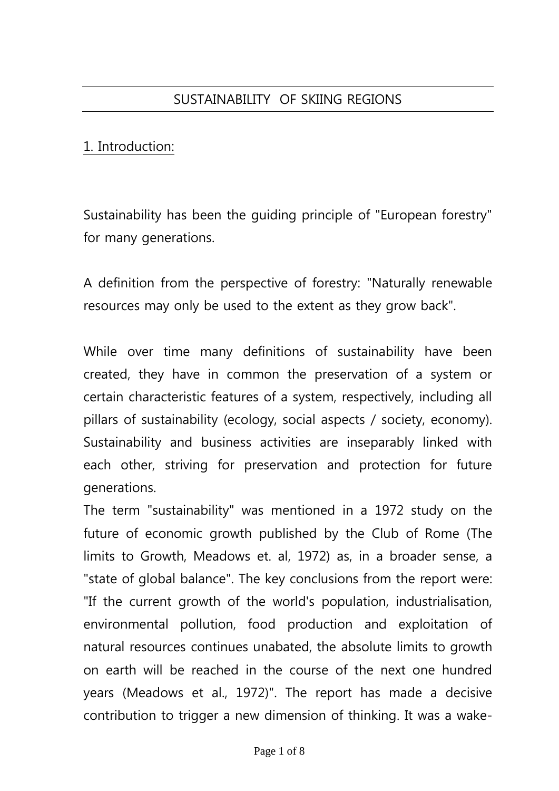# 1. Introduction:

Sustainability has been the guiding principle of "European forestry" for many generations.

A definition from the perspective of forestry: "Naturally renewable resources may only be used to the extent as they grow back".

While over time many definitions of sustainability have been created, they have in common the preservation of a system or certain characteristic features of a system, respectively, including all pillars of sustainability (ecology, social aspects / society, economy). Sustainability and business activities are inseparably linked with each other, striving for preservation and protection for future generations.

The term "sustainability" was mentioned in a 1972 study on the future of economic growth published by the Club of Rome (The limits to Growth, Meadows et. al, 1972) as, in a broader sense, a "state of global balance". The key conclusions from the report were: "If the current growth of the world's population, industrialisation, environmental pollution, food production and exploitation of natural resources continues unabated, the absolute limits to growth on earth will be reached in the course of the next one hundred years (Meadows et al., 1972)". The report has made a decisive contribution to trigger a new dimension of thinking. It was a wake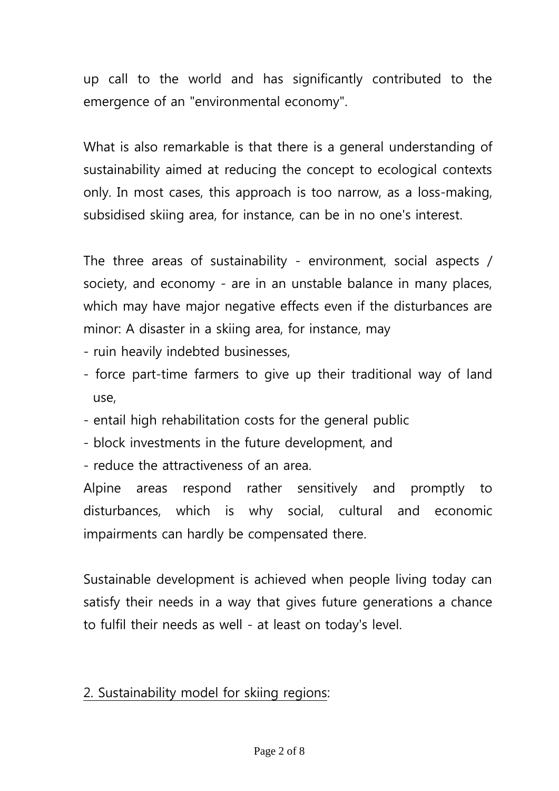up call to the world and has significantly contributed to the emergence of an "environmental economy".

What is also remarkable is that there is a general understanding of sustainability aimed at reducing the concept to ecological contexts only. In most cases, this approach is too narrow, as a loss-making, subsidised skiing area, for instance, can be in no one's interest.

The three areas of sustainability - environment, social aspects / society, and economy - are in an unstable balance in many places, which may have major negative effects even if the disturbances are minor: A disaster in a skiing area, for instance, may

- ruin heavily indebted businesses,
- force part-time farmers to give up their traditional way of land use,
- entail high rehabilitation costs for the general public
- block investments in the future development, and
- reduce the attractiveness of an area.

Alpine areas respond rather sensitively and promptly to disturbances, which is why social, cultural and economic impairments can hardly be compensated there.

Sustainable development is achieved when people living today can satisfy their needs in a way that gives future generations a chance to fulfil their needs as well - at least on today's level.

# 2. Sustainability model for skiing regions: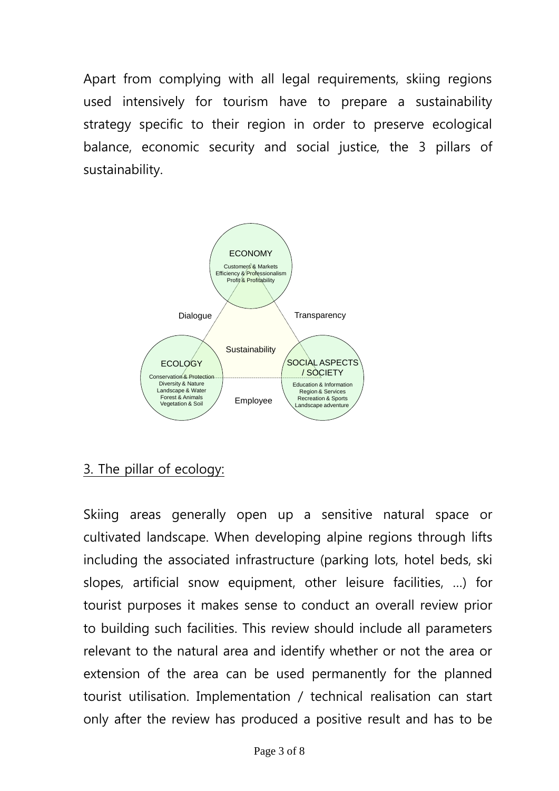Apart from complying with all legal requirements, skiing regions used intensively for tourism have to prepare a sustainability strategy specific to their region in order to preserve ecological balance, economic security and social justice, the 3 pillars of sustainability.



# 3. The pillar of ecology:

Skiing areas generally open up a sensitive natural space or cultivated landscape. When developing alpine regions through lifts including the associated infrastructure (parking lots, hotel beds, ski slopes, artificial snow equipment, other leisure facilities, …) for tourist purposes it makes sense to conduct an overall review prior to building such facilities. This review should include all parameters relevant to the natural area and identify whether or not the area or extension of the area can be used permanently for the planned tourist utilisation. Implementation / technical realisation can start only after the review has produced a positive result and has to be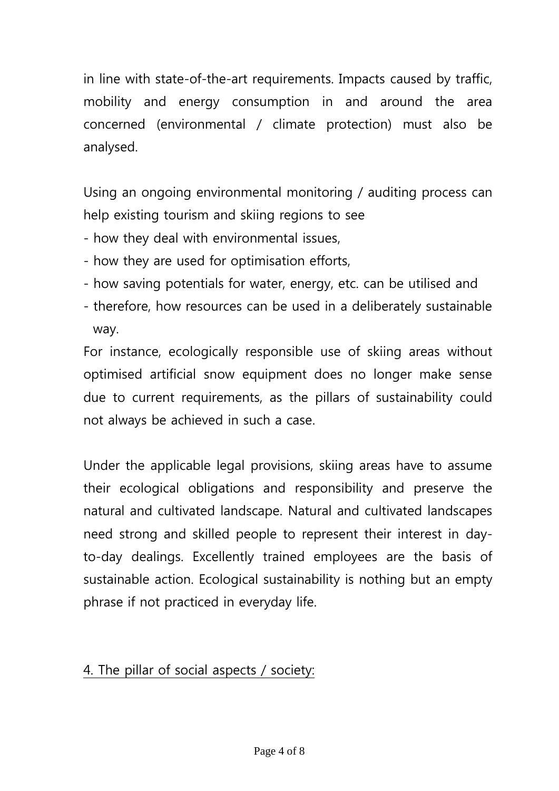in line with state-of-the-art requirements. Impacts caused by traffic, mobility and energy consumption in and around the area concerned (environmental / climate protection) must also be analysed.

Using an ongoing environmental monitoring / auditing process can help existing tourism and skiing regions to see

- how they deal with environmental issues,
- how they are used for optimisation efforts,
- how saving potentials for water, energy, etc. can be utilised and
- therefore, how resources can be used in a deliberately sustainable way.

For instance, ecologically responsible use of skiing areas without optimised artificial snow equipment does no longer make sense due to current requirements, as the pillars of sustainability could not always be achieved in such a case.

Under the applicable legal provisions, skiing areas have to assume their ecological obligations and responsibility and preserve the natural and cultivated landscape. Natural and cultivated landscapes need strong and skilled people to represent their interest in dayto-day dealings. Excellently trained employees are the basis of sustainable action. Ecological sustainability is nothing but an empty phrase if not practiced in everyday life.

## 4. The pillar of social aspects / society: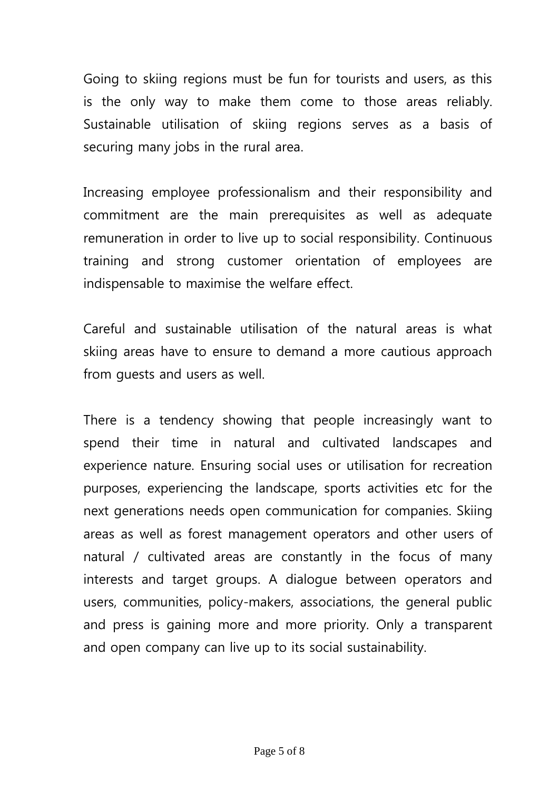Going to skiing regions must be fun for tourists and users, as this is the only way to make them come to those areas reliably. Sustainable utilisation of skiing regions serves as a basis of securing many jobs in the rural area.

Increasing employee professionalism and their responsibility and commitment are the main prerequisites as well as adequate remuneration in order to live up to social responsibility. Continuous training and strong customer orientation of employees are indispensable to maximise the welfare effect.

Careful and sustainable utilisation of the natural areas is what skiing areas have to ensure to demand a more cautious approach from guests and users as well.

There is a tendency showing that people increasingly want to spend their time in natural and cultivated landscapes and experience nature. Ensuring social uses or utilisation for recreation purposes, experiencing the landscape, sports activities etc for the next generations needs open communication for companies. Skiing areas as well as forest management operators and other users of natural / cultivated areas are constantly in the focus of many interests and target groups. A dialogue between operators and users, communities, policy-makers, associations, the general public and press is gaining more and more priority. Only a transparent and open company can live up to its social sustainability.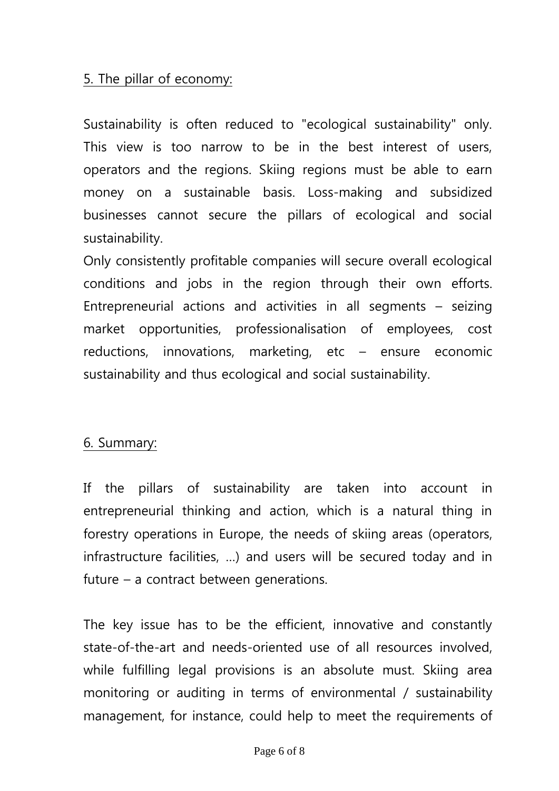## 5. The pillar of economy:

Sustainability is often reduced to "ecological sustainability" only. This view is too narrow to be in the best interest of users, operators and the regions. Skiing regions must be able to earn money on a sustainable basis. Loss-making and subsidized businesses cannot secure the pillars of ecological and social sustainability.

Only consistently profitable companies will secure overall ecological conditions and jobs in the region through their own efforts. Entrepreneurial actions and activities in all segments – seizing market opportunities, professionalisation of employees, cost reductions, innovations, marketing, etc – ensure economic sustainability and thus ecological and social sustainability.

### 6. Summary:

If the pillars of sustainability are taken into account in entrepreneurial thinking and action, which is a natural thing in forestry operations in Europe, the needs of skiing areas (operators, infrastructure facilities, …) and users will be secured today and in future – a contract between generations.

The key issue has to be the efficient, innovative and constantly state-of-the-art and needs-oriented use of all resources involved, while fulfilling legal provisions is an absolute must. Skiing area monitoring or auditing in terms of environmental / sustainability management, for instance, could help to meet the requirements of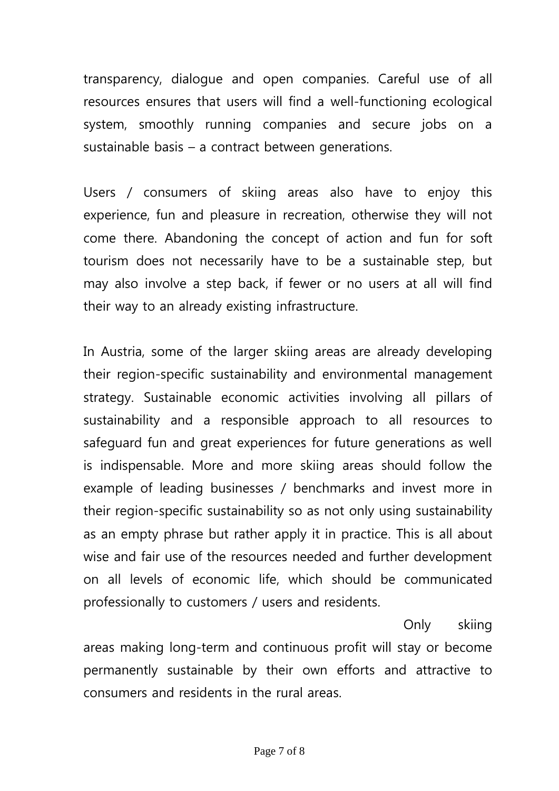transparency, dialogue and open companies. Careful use of all resources ensures that users will find a well-functioning ecological system, smoothly running companies and secure jobs on a sustainable basis – a contract between generations.

Users / consumers of skiing areas also have to enjoy this experience, fun and pleasure in recreation, otherwise they will not come there. Abandoning the concept of action and fun for soft tourism does not necessarily have to be a sustainable step, but may also involve a step back, if fewer or no users at all will find their way to an already existing infrastructure.

In Austria, some of the larger skiing areas are already developing their region-specific sustainability and environmental management strategy. Sustainable economic activities involving all pillars of sustainability and a responsible approach to all resources to safeguard fun and great experiences for future generations as well is indispensable. More and more skiing areas should follow the example of leading businesses / benchmarks and invest more in their region-specific sustainability so as not only using sustainability as an empty phrase but rather apply it in practice. This is all about wise and fair use of the resources needed and further development on all levels of economic life, which should be communicated professionally to customers / users and residents.

Only skiing areas making long-term and continuous profit will stay or become permanently sustainable by their own efforts and attractive to consumers and residents in the rural areas.